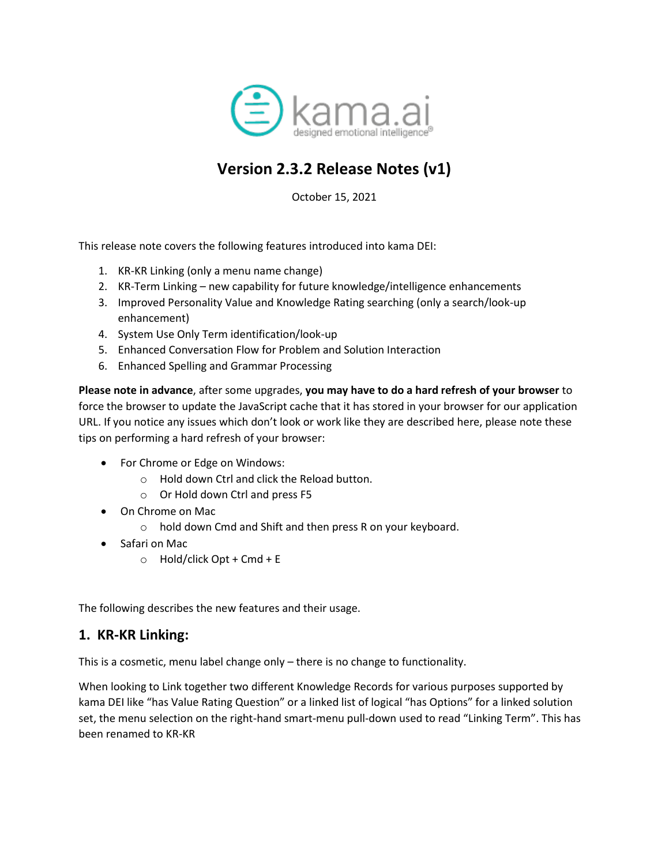

# **Version 2.3.2 Release Notes (v1)**

October 15, 2021

This release note covers the following features introduced into kama DEI:

- 1. KR-KR Linking (only a menu name change)
- 2. KR-Term Linking new capability for future knowledge/intelligence enhancements
- 3. Improved Personality Value and Knowledge Rating searching (only a search/look-up enhancement)
- 4. System Use Only Term identification/look-up
- 5. Enhanced Conversation Flow for Problem and Solution Interaction
- 6. Enhanced Spelling and Grammar Processing

**Please note in advance**, after some upgrades, **you may have to do a hard refresh of your browser** to force the browser to update the JavaScript cache that it has stored in your browser for our application URL. If you notice any issues which don't look or work like they are described here, please note these tips on performing a hard refresh of your browser:

- For Chrome or Edge on Windows:
	- o Hold down Ctrl and click the Reload button.
	- o Or Hold down Ctrl and press F5
- On Chrome on Mac
	- o hold down Cmd and Shift and then press R on your keyboard.
- Safari on Mac
	- $\circ$  Hold/click Opt + Cmd + E

The following describes the new features and their usage.

#### **1. KR-KR Linking:**

This is a cosmetic, menu label change only – there is no change to functionality.

When looking to Link together two different Knowledge Records for various purposes supported by kama DEI like "has Value Rating Question" or a linked list of logical "has Options" for a linked solution set, the menu selection on the right-hand smart-menu pull-down used to read "Linking Term". This has been renamed to KR-KR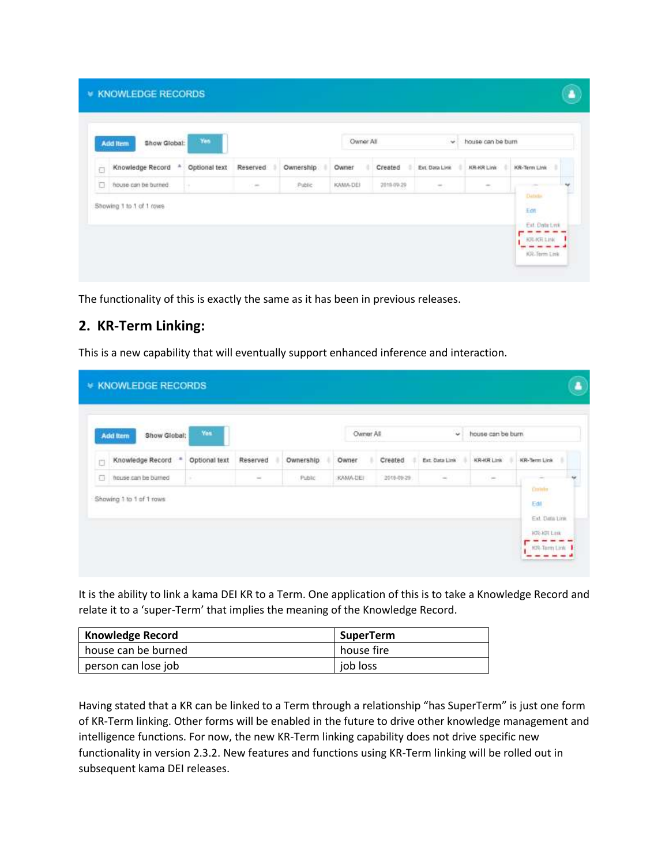|   | Show Global:<br><b>Add Item</b> | Yes           |          |           | Owner All |            | $\sim$          | house can be burn. |                                                                                                           |
|---|---------------------------------|---------------|----------|-----------|-----------|------------|-----------------|--------------------|-----------------------------------------------------------------------------------------------------------|
| ō | Knowledge Record                | Optional text | Reserved | Ownership | Owner     | Created    | Ext. Data Livie | <b>ICR-KR Link</b> | KR-Term Link<br>٠                                                                                         |
| o | house can be burned.            | $\sim$        | 17,000   | Public    | KAMA-DEI  | 2018-09-29 | $\sim$          | $\sim$             | $\frac{1}{2} \left( \frac{1}{2} \right) \left( \frac{1}{2} \right) \left( \frac{1}{2} \right)$<br>Datado. |
|   | Showing 1 to 1 of 1 rows        |               |          |           |           |            |                 |                    | <b>COLL</b><br>Edit<br>5575                                                                               |

The functionality of this is exactly the same as it has been in previous releases.

### **2. KR-Term Linking:**

This is a new capability that will eventually support enhanced inference and interaction.

| Knowledge Record<br>KR-KR Link<br>KR-Term Link<br>Reserved<br>Ownership<br>Owner<br>Created<br>Ext. Data Link<br>Optional text<br>O | house can be burn. |
|-------------------------------------------------------------------------------------------------------------------------------------|--------------------|
|                                                                                                                                     |                    |
| house can be burned<br>Public<br>KAMA-DEI<br>2019-09-29<br>$\sim$<br>in.<br>$\sim$<br>1.000                                         |                    |
| O<br>Ontario<br>Showing 1 to 1 of 1 rows<br>Edit                                                                                    |                    |

It is the ability to link a kama DEI KR to a Term. One application of this is to take a Knowledge Record and relate it to a 'super-Term' that implies the meaning of the Knowledge Record.

| <b>Knowledge Record</b> | <b>SuperTerm</b> |
|-------------------------|------------------|
| house can be burned     | house fire       |
| person can lose job     | job loss         |

Having stated that a KR can be linked to a Term through a relationship "has SuperTerm" is just one form of KR-Term linking. Other forms will be enabled in the future to drive other knowledge management and intelligence functions. For now, the new KR-Term linking capability does not drive specific new functionality in version 2.3.2. New features and functions using KR-Term linking will be rolled out in subsequent kama DEI releases.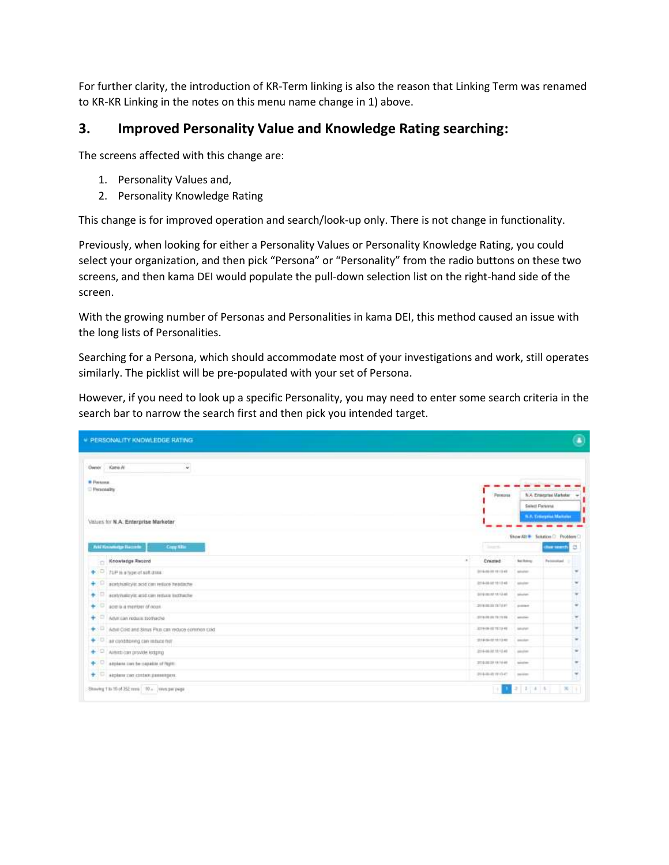For further clarity, the introduction of KR-Term linking is also the reason that Linking Term was renamed to KR-KR Linking in the notes on this menu name change in 1) above.

#### **3. Improved Personality Value and Knowledge Rating searching:**

The screens affected with this change are:

- 1. Personality Values and,
- 2. Personality Knowledge Rating

This change is for improved operation and search/look-up only. There is not change in functionality.

Previously, when looking for either a Personality Values or Personality Knowledge Rating, you could select your organization, and then pick "Persona" or "Personality" from the radio buttons on these two screens, and then kama DEI would populate the pull-down selection list on the right-hand side of the screen.

With the growing number of Personas and Personalities in kama DEI, this method caused an issue with the long lists of Personalities.

Searching for a Persona, which should accommodate most of your investigations and work, still operates similarly. The picklist will be pre-populated with your set of Persona.

However, if you need to look up a specific Personality, you may need to enter some search criteria in the search bar to narrow the search first and then pick you intended target.

| <b>W PERSONALITY KNOWLEDGE RATING</b>                                                                                            |                                |                   | ø                                                                            |
|----------------------------------------------------------------------------------------------------------------------------------|--------------------------------|-------------------|------------------------------------------------------------------------------|
| Dwww Kara N<br>$\mathbf{v}$                                                                                                      |                                |                   |                                                                              |
| <b>B Passage</b><br><sup>D</sup> Personality<br>aan ah<br><b>CONTRACTOR</b> INTERNATIONAL<br>Values for N.A. Enterprise Marketer | <b>Fernonia</b>                |                   | N.A. Enterprise Marketer<br>Select Persona<br><b>N.A. Ernerprise Manufer</b> |
|                                                                                                                                  |                                |                   | <b>Show All # Solution D. Problem C.</b>                                     |
| <b>And Knowings Become</b><br><b>Cray Wile</b>                                                                                   | <b>Cloud</b>                   |                   | a<br>due wants                                                               |
| Knowledge Record                                                                                                                 | a.<br>Cremed                   | <b>Soldiers</b>   | Februaria                                                                    |
| $\bullet$ : $\Box$ /uP is a type of sixt does                                                                                    | 2116-06-28 19 13 43            | Africa            |                                                                              |
| + C acessionicy is pold can respon readacte                                                                                      | 2214-08-07 10:13:48            | <b>Advertiser</b> | $\sim$                                                                       |
| + C automateyic and can return instructor                                                                                        | 3210-36-32 12:12:40            | Model:            |                                                                              |
| $\bullet$ $\Box$ accura a member of noon.                                                                                        | 2010/01/01 23:14:07            | promot-           |                                                                              |
| $+$ $\circ$ Advision require socked to                                                                                           | 2010/08/08 79:19:09            | source:           | ×                                                                            |
| + C Adve Cost and Sinus Plus can wouce controls cold.                                                                            | ATTRON-ST TEXT-RE  . Amunet    |                   | ٠                                                                            |
| + D air contitioning can reduce him                                                                                              | 2014-06-02 10:13:40            | <b>Amazon</b>     |                                                                              |
| ← <sup>D</sup> Airest can provide lodging                                                                                        | 2116-06-01 10:12:40 - Lamplest |                   | $\sim$                                                                       |
| + C atplant can be capable of fight                                                                                              | 2010/02/28 18:16:46            | 1. Advertiser     |                                                                              |
| + C stylen can costan genergen.                                                                                                  | 計画事業所有                         | C parallel        | $\omega$                                                                     |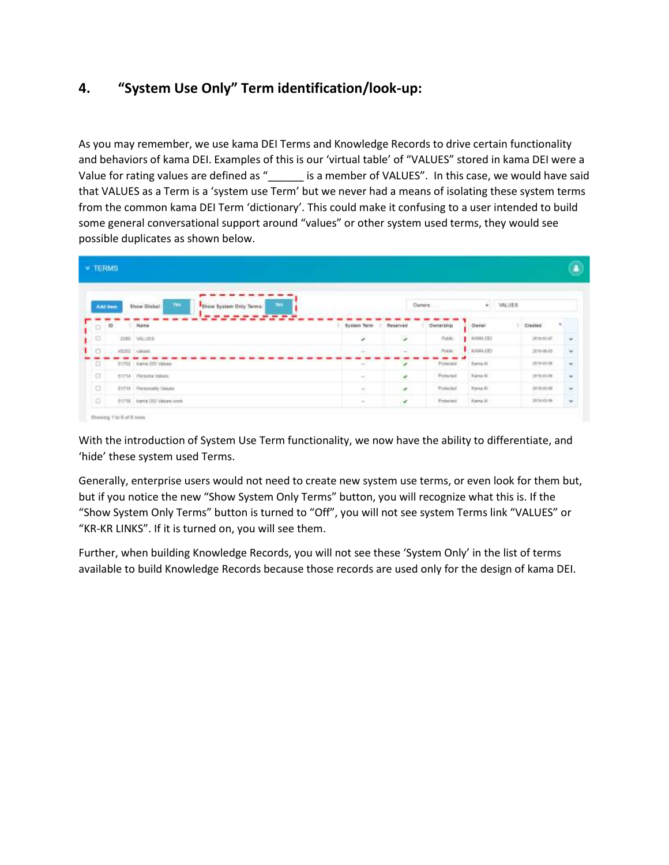## **4. "System Use Only" Term identification/look-up:**

As you may remember, we use kama DEI Terms and Knowledge Records to drive certain functionality and behaviors of kama DEI. Examples of this is our 'virtual table' of "VALUES" stored in kama DEI were a Value for rating values are defined as " \_\_\_\_\_\_\_ is a member of VALUES". In this case, we would have said that VALUES as a Term is a 'system use Term' but we never had a means of isolating these system terms from the common kama DEI Term 'dictionary'. This could make it confusing to a user intended to build some general conversational support around "values" or other system used terms, they would see possible duplicates as shown below.

|         | <b>V TERMS</b> |                                                             |                                                                                                |                          |           |                  |            | L.               |
|---------|----------------|-------------------------------------------------------------|------------------------------------------------------------------------------------------------|--------------------------|-----------|------------------|------------|------------------|
|         | Add here       | 100<br>Yes<br><b>Show Globat</b><br>Show System Only Terms: |                                                                                                |                          | Owners    |                  | v WUUES    |                  |
| n       | ID             | Náme                                                        | System Term                                                                                    | Reserved                 | Ownership | Owner            | Created    | $\mathbf{a}$     |
| a       |                | 2080 9811818                                                | ä.                                                                                             | $\omega$                 | Fider     | <b>I</b> KANAGEI | 2010/03/07 | $\sim$           |
| o       |                | 43255 values                                                |                                                                                                |                          | Public    | KAMA GEI         | 2010/05/03 | ¥                |
| п       |                | 31702 Farms DIS Values                                      | $\frac{1}{2} \left( \frac{1}{2} \right) \left( \frac{1}{2} \right) \left( \frac{1}{2} \right)$ | $\overline{\phantom{a}}$ | Protector | Kens Al          | 2010/03/08 | $\sim$           |
| 圓       |                | 33714 Persona Values                                        | $\frac{1}{2} \left( \frac{1}{2} \right) \left( \frac{1}{2} \right) \left( \frac{1}{2} \right)$ | ٠                        | Potecter  | Karea At         | 2010/03/08 | $\sim$           |
| $\Box$  |                | <b>S1715 Personally Values</b>                              | $\equiv$ .                                                                                     | ٠                        | Pretented | Kana Ali         | 209/0308   | Ξ                |
| $\circ$ |                | 51718   korta DEI Values work                               |                                                                                                | v                        | Protected | Kens All         | 2010/03/06 | $\sim$<br>$\sim$ |

With the introduction of System Use Term functionality, we now have the ability to differentiate, and 'hide' these system used Terms.

Generally, enterprise users would not need to create new system use terms, or even look for them but, but if you notice the new "Show System Only Terms" button, you will recognize what this is. If the "Show System Only Terms" button is turned to "Off", you will not see system Terms link "VALUES" or "KR-KR LINKS". If it is turned on, you will see them.

Further, when building Knowledge Records, you will not see these 'System Only' in the list of terms available to build Knowledge Records because those records are used only for the design of kama DEI.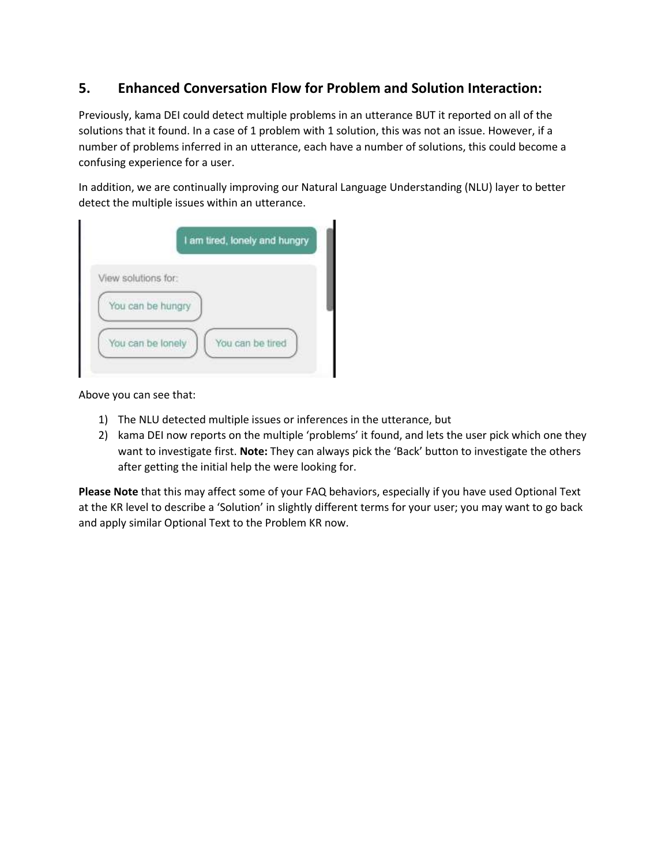### **5. Enhanced Conversation Flow for Problem and Solution Interaction:**

Previously, kama DEI could detect multiple problems in an utterance BUT it reported on all of the solutions that it found. In a case of 1 problem with 1 solution, this was not an issue. However, if a number of problems inferred in an utterance, each have a number of solutions, this could become a confusing experience for a user.

In addition, we are continually improving our Natural Language Understanding (NLU) layer to better detect the multiple issues within an utterance.

| View solutions for: |  |                  |  |
|---------------------|--|------------------|--|
| You can be hungry   |  |                  |  |
| You can be lonely   |  | You can be tired |  |

Above you can see that:

- 1) The NLU detected multiple issues or inferences in the utterance, but
- 2) kama DEI now reports on the multiple 'problems' it found, and lets the user pick which one they want to investigate first. **Note:** They can always pick the 'Back' button to investigate the others after getting the initial help the were looking for.

**Please Note** that this may affect some of your FAQ behaviors, especially if you have used Optional Text at the KR level to describe a 'Solution' in slightly different terms for your user; you may want to go back and apply similar Optional Text to the Problem KR now.